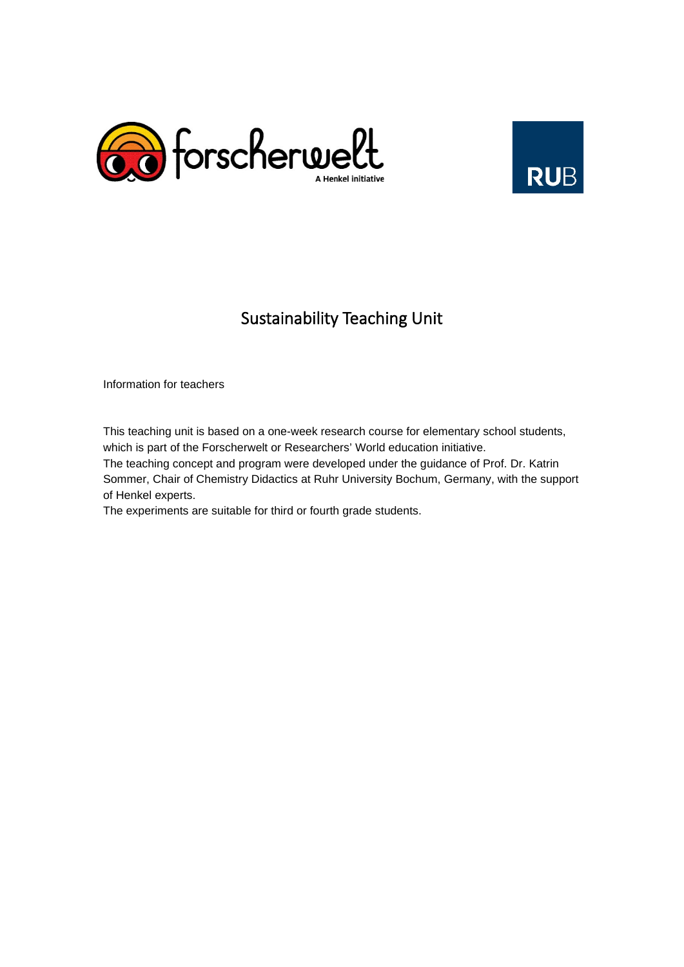



# Sustainability Teaching Unit

Information for teachers

This teaching unit is based on a one-week research course for elementary school students, which is part of the Forscherwelt or Researchers' World education initiative.

The teaching concept and program were developed under the guidance of Prof. Dr. Katrin Sommer, Chair of Chemistry Didactics at Ruhr University Bochum, Germany, with the support of Henkel experts.

The experiments are suitable for third or fourth grade students.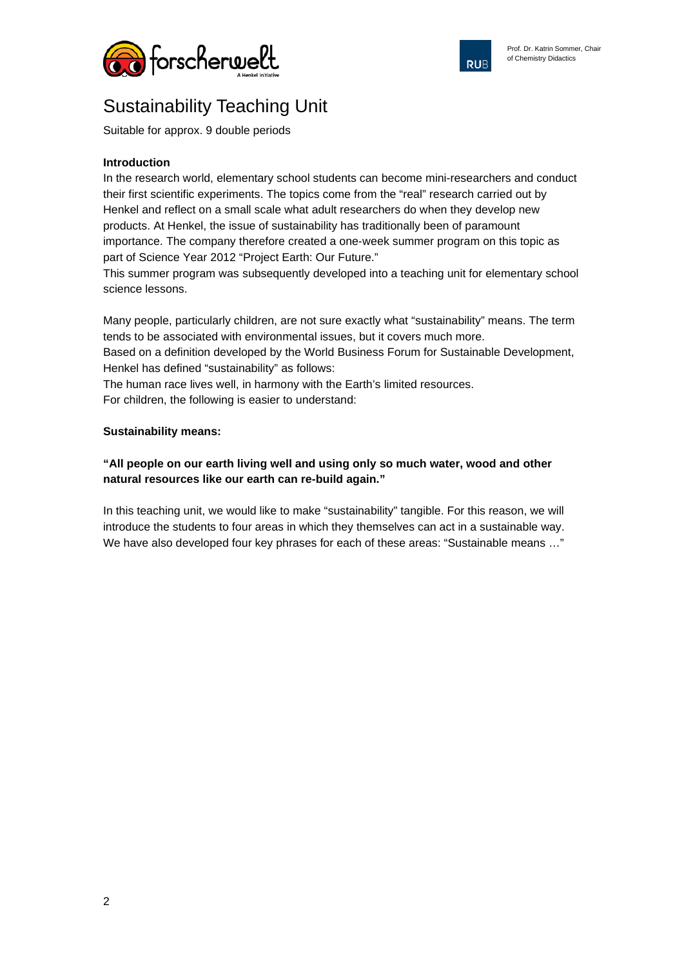



# Sustainability Teaching Unit

Suitable for approx. 9 double periods

### **Introduction**

In the research world, elementary school students can become mini-researchers and conduct their first scientific experiments. The topics come from the "real" research carried out by Henkel and reflect on a small scale what adult researchers do when they develop new products. At Henkel, the issue of sustainability has traditionally been of paramount importance. The company therefore created a one-week summer program on this topic as part of Science Year 2012 "Project Earth: Our Future."

This summer program was subsequently developed into a teaching unit for elementary school science lessons.

Many people, particularly children, are not sure exactly what "sustainability" means. The term tends to be associated with environmental issues, but it covers much more.

Based on a definition developed by the World Business Forum for Sustainable Development, Henkel has defined "sustainability" as follows:

The human race lives well, in harmony with the Earth's limited resources.

For children, the following is easier to understand:

### **Sustainability means:**

### **"All people on our earth living well and using only so much water, wood and other natural resources like our earth can re-build again."**

In this teaching unit, we would like to make "sustainability" tangible. For this reason, we will introduce the students to four areas in which they themselves can act in a sustainable way. We have also developed four key phrases for each of these areas: "Sustainable means …"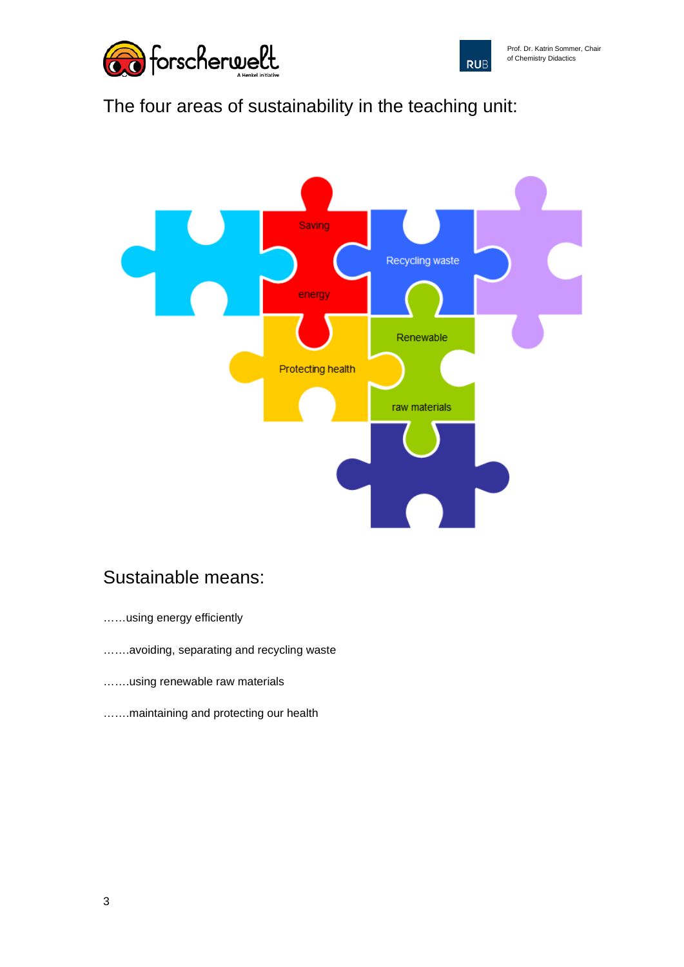



# The four areas of sustainability in the teaching unit:



### Sustainable means:

- ……using energy efficiently
- …….avoiding, separating and recycling waste
- …….using renewable raw materials
- …….maintaining and protecting our health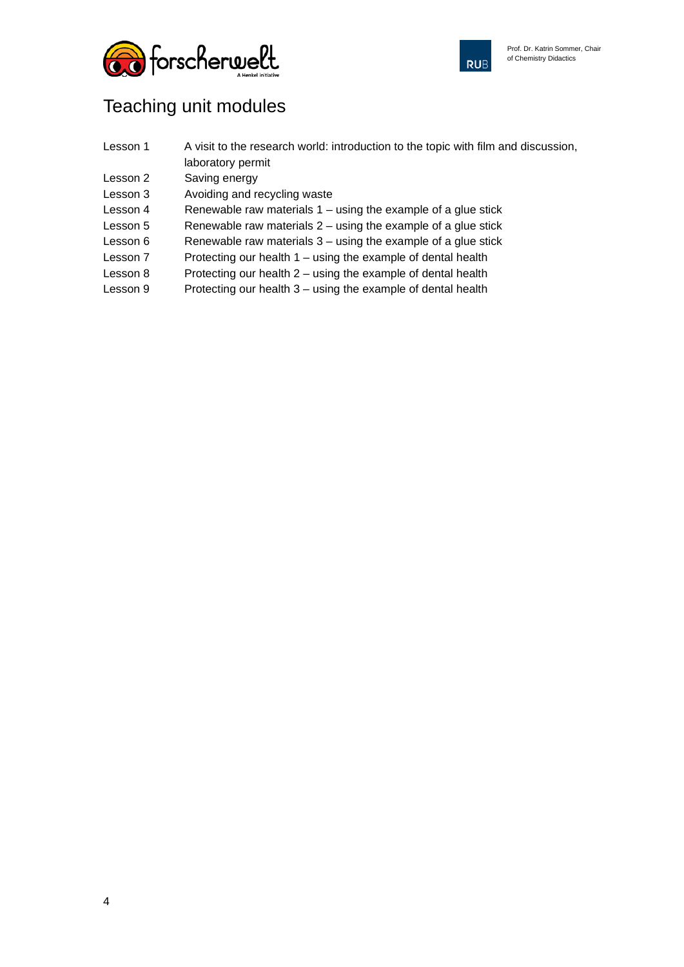



## Teaching unit modules

| Lesson 1 | A visit to the research world: introduction to the topic with film and discussion, |
|----------|------------------------------------------------------------------------------------|
|          | laboratory permit                                                                  |

- Lesson 2 Saving energy
- Lesson 3 Avoiding and recycling waste
- Lesson  $4$  Renewable raw materials  $1 -$  using the example of a glue stick
- Lesson  $5$  Renewable raw materials  $2 -$  using the example of a glue stick
- Lesson  $6$  Renewable raw materials  $3$  using the example of a glue stick
- Lesson 7 Protecting our health 1 using the example of dental health
- Lesson  $8$  Protecting our health  $2 -$  using the example of dental health
- Lesson 9 Protecting our health 3 using the example of dental health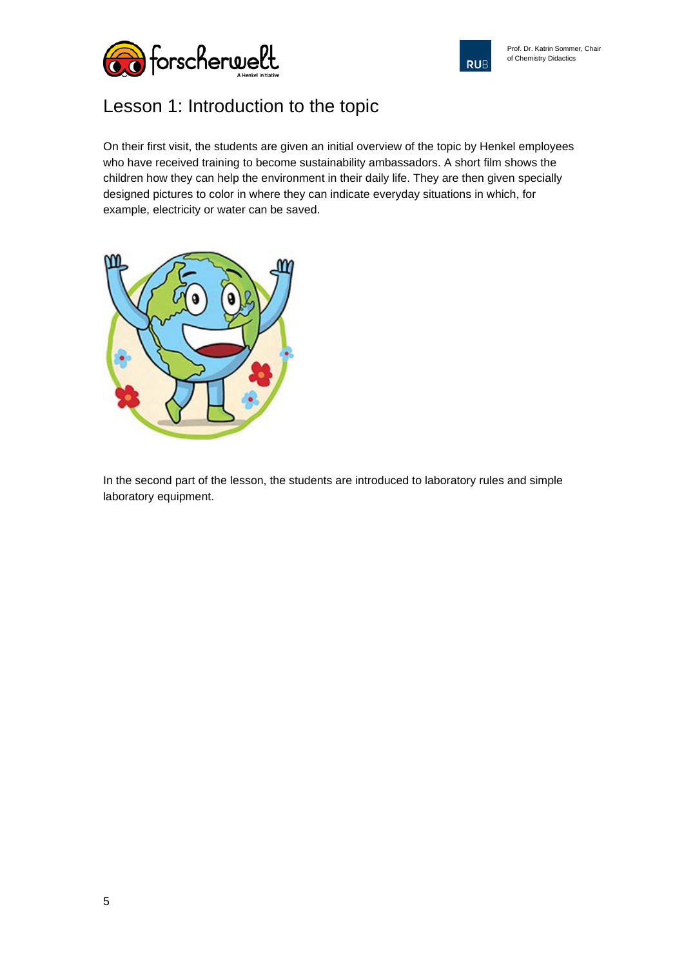



# Lesson 1: Introduction to the topic

On their first visit, the students are given an initial overview of the topic by Henkel employees who have received training to become sustainability ambassadors. A short film shows the children how they can help the environment in their daily life. They are then given specially designed pictures to color in where they can indicate everyday situations in which, for example, electricity or water can be saved.



In the second part of the lesson, the students are introduced to laboratory rules and simple laboratory equipment.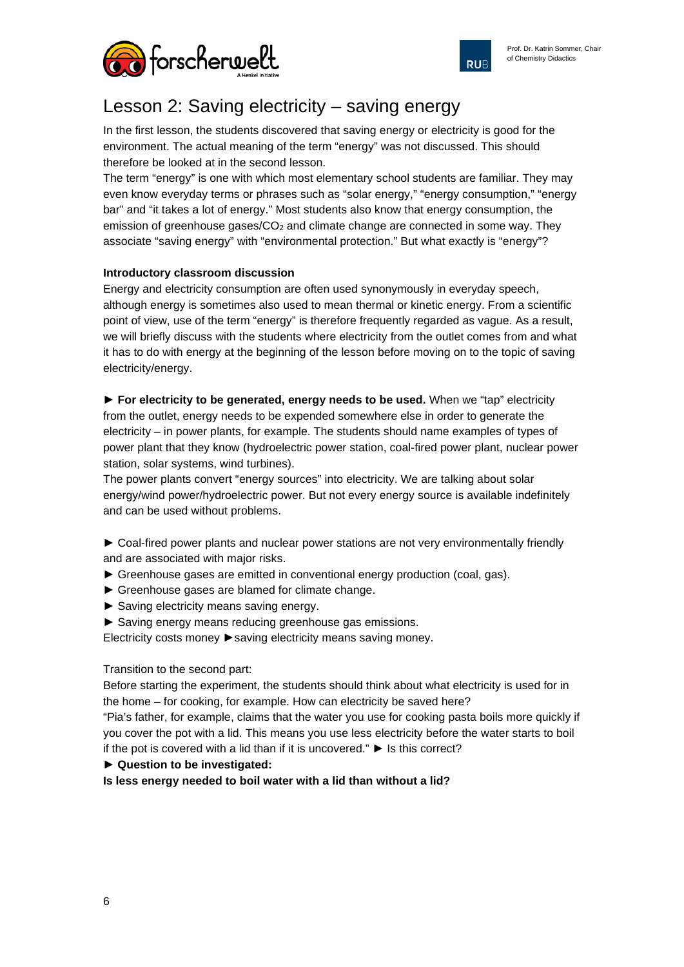

**RUB** 



## Lesson 2: Saving electricity – saving energy

In the first lesson, the students discovered that saving energy or electricity is good for the environment. The actual meaning of the term "energy" was not discussed. This should therefore be looked at in the second lesson.

The term "energy" is one with which most elementary school students are familiar. They may even know everyday terms or phrases such as "solar energy," "energy consumption," "energy bar" and "it takes a lot of energy." Most students also know that energy consumption, the emission of greenhouse gases/ $CO<sub>2</sub>$  and climate change are connected in some way. They associate "saving energy" with "environmental protection." But what exactly is "energy"?

### **Introductory classroom discussion**

Energy and electricity consumption are often used synonymously in everyday speech, although energy is sometimes also used to mean thermal or kinetic energy. From a scientific point of view, use of the term "energy" is therefore frequently regarded as vague. As a result, we will briefly discuss with the students where electricity from the outlet comes from and what it has to do with energy at the beginning of the lesson before moving on to the topic of saving electricity/energy.

► **For electricity to be generated, energy needs to be used.** When we "tap" electricity from the outlet, energy needs to be expended somewhere else in order to generate the electricity – in power plants, for example. The students should name examples of types of power plant that they know (hydroelectric power station, coal-fired power plant, nuclear power station, solar systems, wind turbines).

The power plants convert "energy sources" into electricity. We are talking about solar energy/wind power/hydroelectric power. But not every energy source is available indefinitely and can be used without problems.

► Coal-fired power plants and nuclear power stations are not very environmentally friendly and are associated with major risks.

- ► Greenhouse gases are emitted in conventional energy production (coal, gas).
- ► Greenhouse gases are blamed for climate change.
- ► Saving electricity means saving energy.
- ► Saving energy means reducing greenhouse gas emissions.

Electricity costs money ►saving electricity means saving money.

Transition to the second part:

Before starting the experiment, the students should think about what electricity is used for in the home – for cooking, for example. How can electricity be saved here?

"Pia's father, for example, claims that the water you use for cooking pasta boils more quickly if you cover the pot with a lid. This means you use less electricity before the water starts to boil if the pot is covered with a lid than if it is uncovered." ► Is this correct?

### ► **Question to be investigated:**

**Is less energy needed to boil water with a lid than without a lid?**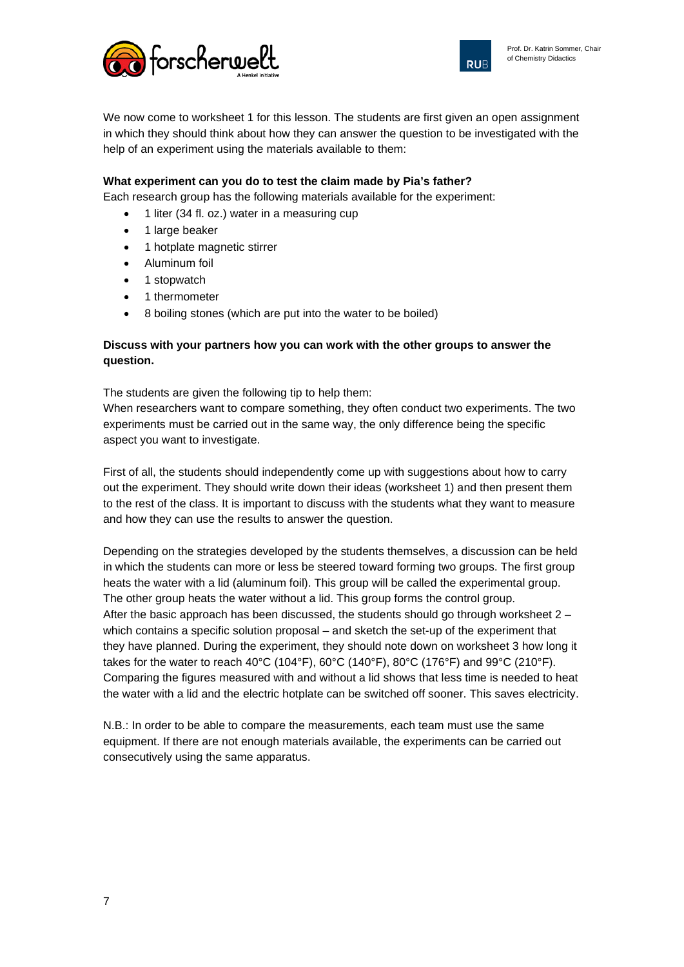



We now come to worksheet 1 for this lesson. The students are first given an open assignment in which they should think about how they can answer the question to be investigated with the help of an experiment using the materials available to them:

### **What experiment can you do to test the claim made by Pia's father?**

Each research group has the following materials available for the experiment:

- 1 liter (34 fl. oz.) water in a measuring cup
- 1 large beaker
- 1 hotplate magnetic stirrer
- Aluminum foil
- 1 stopwatch
- 1 thermometer
- 8 boiling stones (which are put into the water to be boiled)

### **Discuss with your partners how you can work with the other groups to answer the question.**

The students are given the following tip to help them:

When researchers want to compare something, they often conduct two experiments. The two experiments must be carried out in the same way, the only difference being the specific aspect you want to investigate.

First of all, the students should independently come up with suggestions about how to carry out the experiment. They should write down their ideas (worksheet 1) and then present them to the rest of the class. It is important to discuss with the students what they want to measure and how they can use the results to answer the question.

Depending on the strategies developed by the students themselves, a discussion can be held in which the students can more or less be steered toward forming two groups. The first group heats the water with a lid (aluminum foil). This group will be called the experimental group. The other group heats the water without a lid. This group forms the control group. After the basic approach has been discussed, the students should go through worksheet  $2$ which contains a specific solution proposal – and sketch the set-up of the experiment that they have planned. During the experiment, they should note down on worksheet 3 how long it takes for the water to reach 40°C (104°F), 60°C (140°F), 80°C (176°F) and 99°C (210°F). Comparing the figures measured with and without a lid shows that less time is needed to heat the water with a lid and the electric hotplate can be switched off sooner. This saves electricity.

N.B.: In order to be able to compare the measurements, each team must use the same equipment. If there are not enough materials available, the experiments can be carried out consecutively using the same apparatus.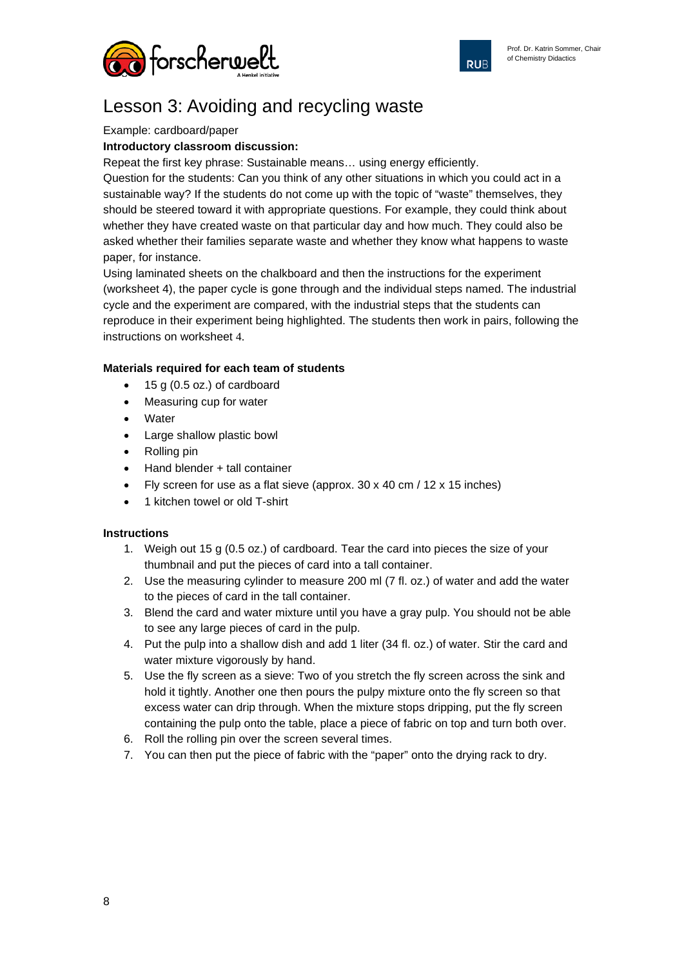



## Lesson 3: Avoiding and recycling waste

#### Example: cardboard/paper

### **Introductory classroom discussion:**

Repeat the first key phrase: Sustainable means… using energy efficiently.

Question for the students: Can you think of any other situations in which you could act in a sustainable way? If the students do not come up with the topic of "waste" themselves, they should be steered toward it with appropriate questions. For example, they could think about whether they have created waste on that particular day and how much. They could also be asked whether their families separate waste and whether they know what happens to waste paper, for instance.

Using laminated sheets on the chalkboard and then the instructions for the experiment (worksheet 4), the paper cycle is gone through and the individual steps named. The industrial cycle and the experiment are compared, with the industrial steps that the students can reproduce in their experiment being highlighted. The students then work in pairs, following the instructions on worksheet 4.

### **Materials required for each team of students**

- 15 g (0.5 oz.) of cardboard
- Measuring cup for water
- **Water**
- Large shallow plastic bowl
- Rolling pin
- Hand blender + tall container
- Fly screen for use as a flat sieve (approx. 30 x 40 cm / 12 x 15 inches)
- 1 kitchen towel or old T-shirt

### **Instructions**

- 1. Weigh out 15 g (0.5 oz.) of cardboard. Tear the card into pieces the size of your thumbnail and put the pieces of card into a tall container.
- 2. Use the measuring cylinder to measure 200 ml (7 fl. oz.) of water and add the water to the pieces of card in the tall container.
- 3. Blend the card and water mixture until you have a gray pulp. You should not be able to see any large pieces of card in the pulp.
- 4. Put the pulp into a shallow dish and add 1 liter (34 fl. oz.) of water. Stir the card and water mixture vigorously by hand.
- 5. Use the fly screen as a sieve: Two of you stretch the fly screen across the sink and hold it tightly. Another one then pours the pulpy mixture onto the fly screen so that excess water can drip through. When the mixture stops dripping, put the fly screen containing the pulp onto the table, place a piece of fabric on top and turn both over.
- 6. Roll the rolling pin over the screen several times.
- 7. You can then put the piece of fabric with the "paper" onto the drying rack to dry.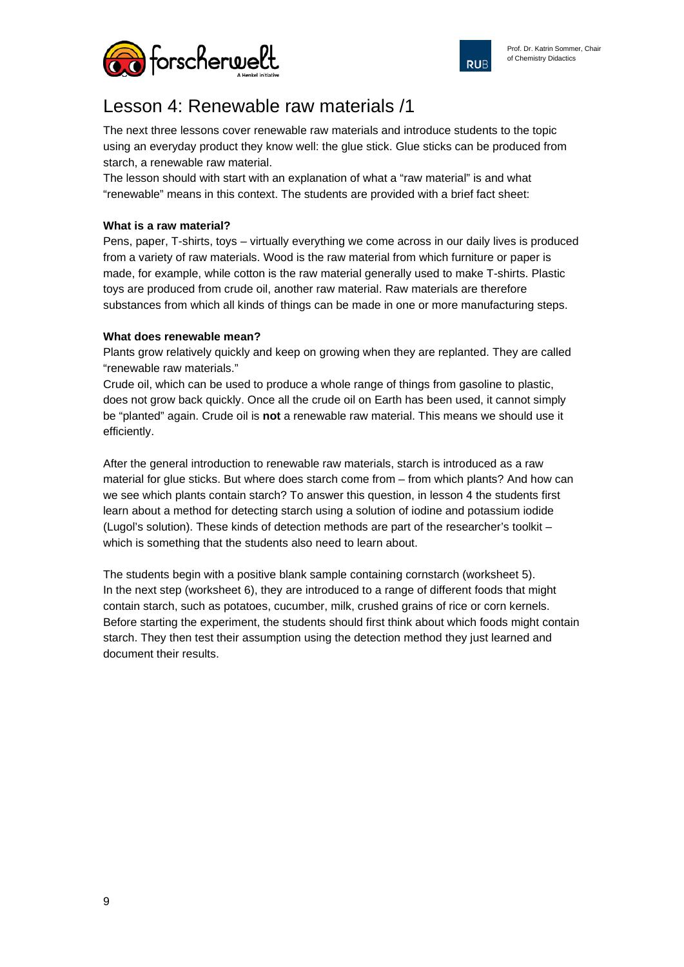



### Lesson 4: Renewable raw materials /1

The next three lessons cover renewable raw materials and introduce students to the topic using an everyday product they know well: the glue stick. Glue sticks can be produced from starch, a renewable raw material.

The lesson should with start with an explanation of what a "raw material" is and what "renewable" means in this context. The students are provided with a brief fact sheet:

### **What is a raw material?**

Pens, paper, T-shirts, toys – virtually everything we come across in our daily lives is produced from a variety of raw materials. Wood is the raw material from which furniture or paper is made, for example, while cotton is the raw material generally used to make T-shirts. Plastic toys are produced from crude oil, another raw material. Raw materials are therefore substances from which all kinds of things can be made in one or more manufacturing steps.

### **What does renewable mean?**

Plants grow relatively quickly and keep on growing when they are replanted. They are called "renewable raw materials."

Crude oil, which can be used to produce a whole range of things from gasoline to plastic, does not grow back quickly. Once all the crude oil on Earth has been used, it cannot simply be "planted" again. Crude oil is **not** a renewable raw material. This means we should use it efficiently.

After the general introduction to renewable raw materials, starch is introduced as a raw material for glue sticks. But where does starch come from – from which plants? And how can we see which plants contain starch? To answer this question, in lesson 4 the students first learn about a method for detecting starch using a solution of iodine and potassium iodide (Lugol's solution). These kinds of detection methods are part of the researcher's toolkit – which is something that the students also need to learn about.

The students begin with a positive blank sample containing cornstarch (worksheet 5). In the next step (worksheet 6), they are introduced to a range of different foods that might contain starch, such as potatoes, cucumber, milk, crushed grains of rice or corn kernels. Before starting the experiment, the students should first think about which foods might contain starch. They then test their assumption using the detection method they just learned and document their results.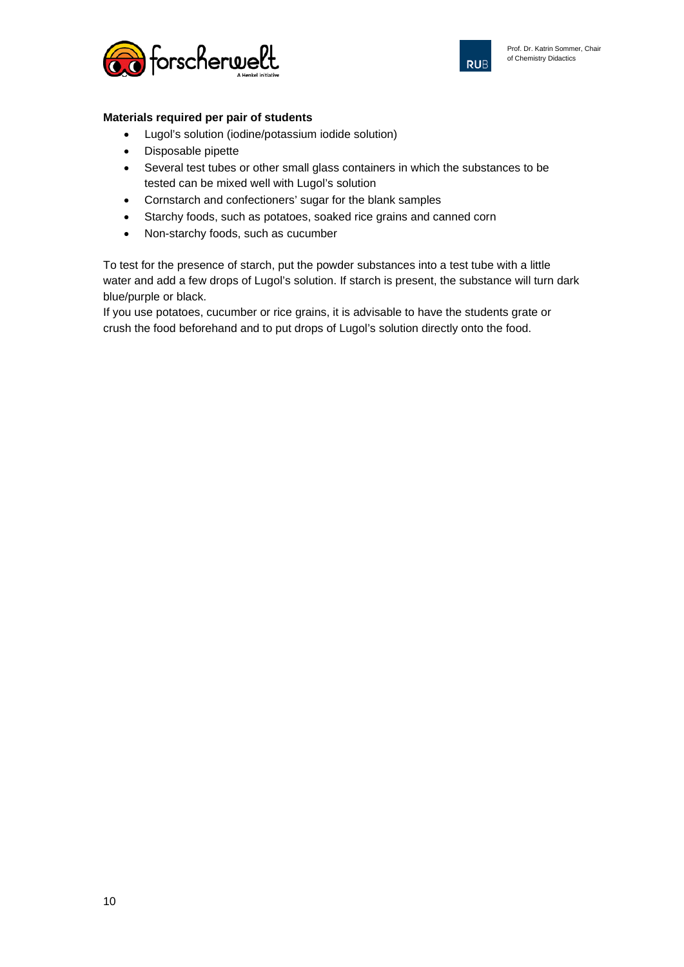



### **Materials required per pair of students**

- Lugol's solution (iodine/potassium iodide solution)
- Disposable pipette
- Several test tubes or other small glass containers in which the substances to be tested can be mixed well with Lugol's solution
- Cornstarch and confectioners' sugar for the blank samples
- Starchy foods, such as potatoes, soaked rice grains and canned corn
- Non-starchy foods, such as cucumber

To test for the presence of starch, put the powder substances into a test tube with a little water and add a few drops of Lugol's solution. If starch is present, the substance will turn dark blue/purple or black.

If you use potatoes, cucumber or rice grains, it is advisable to have the students grate or crush the food beforehand and to put drops of Lugol's solution directly onto the food.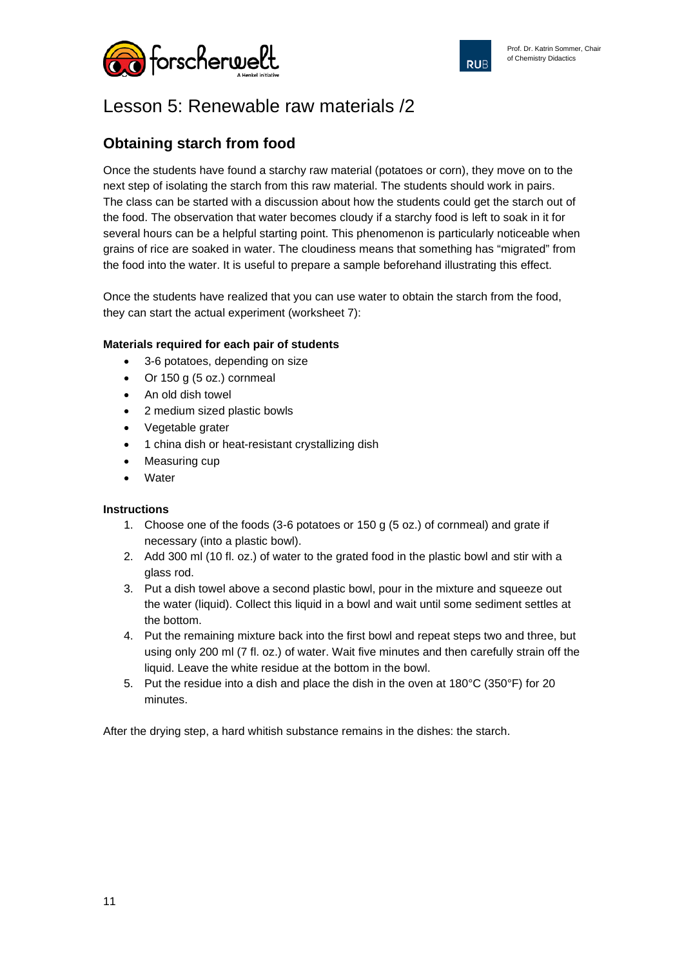



### Lesson 5: Renewable raw materials /2

### **Obtaining starch from food**

Once the students have found a starchy raw material (potatoes or corn), they move on to the next step of isolating the starch from this raw material. The students should work in pairs. The class can be started with a discussion about how the students could get the starch out of the food. The observation that water becomes cloudy if a starchy food is left to soak in it for several hours can be a helpful starting point. This phenomenon is particularly noticeable when grains of rice are soaked in water. The cloudiness means that something has "migrated" from the food into the water. It is useful to prepare a sample beforehand illustrating this effect.

Once the students have realized that you can use water to obtain the starch from the food, they can start the actual experiment (worksheet 7):

### **Materials required for each pair of students**

- 3-6 potatoes, depending on size
- Or 150 g (5 oz.) cornmeal
- An old dish towel
- 2 medium sized plastic bowls
- Vegetable grater
- 1 china dish or heat-resistant crystallizing dish
- Measuring cup
- **Water**

### **Instructions**

- 1. Choose one of the foods (3-6 potatoes or 150 g (5 oz.) of cornmeal) and grate if necessary (into a plastic bowl).
- 2. Add 300 ml (10 fl. oz.) of water to the grated food in the plastic bowl and stir with a glass rod.
- 3. Put a dish towel above a second plastic bowl, pour in the mixture and squeeze out the water (liquid). Collect this liquid in a bowl and wait until some sediment settles at the bottom.
- 4. Put the remaining mixture back into the first bowl and repeat steps two and three, but using only 200 ml (7 fl. oz.) of water. Wait five minutes and then carefully strain off the liquid. Leave the white residue at the bottom in the bowl.
- 5. Put the residue into a dish and place the dish in the oven at 180°C (350°F) for 20 minutes.

After the drying step, a hard whitish substance remains in the dishes: the starch.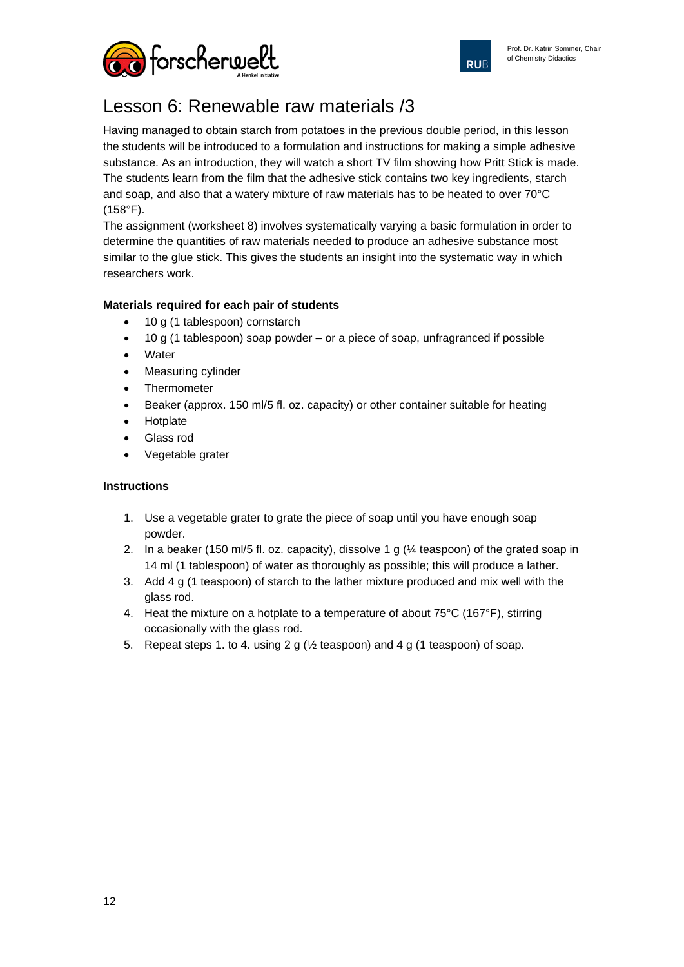



# Lesson 6: Renewable raw materials /3

Having managed to obtain starch from potatoes in the previous double period, in this lesson the students will be introduced to a formulation and instructions for making a simple adhesive substance. As an introduction, they will watch a short TV film showing how Pritt Stick is made. The students learn from the film that the adhesive stick contains two key ingredients, starch and soap, and also that a watery mixture of raw materials has to be heated to over 70°C (158°F).

The assignment (worksheet 8) involves systematically varying a basic formulation in order to determine the quantities of raw materials needed to produce an adhesive substance most similar to the glue stick. This gives the students an insight into the systematic way in which researchers work.

### **Materials required for each pair of students**

- 10 g (1 tablespoon) cornstarch
- 10 g (1 tablespoon) soap powder or a piece of soap, unfragranced if possible
- Water
- Measuring cylinder
- **Thermometer**
- Beaker (approx. 150 ml/5 fl. oz. capacity) or other container suitable for heating
- **Hotplate**
- Glass rod
- Vegetable grater

### **Instructions**

- 1. Use a vegetable grater to grate the piece of soap until you have enough soap powder.
- 2. In a beaker (150 ml/5 fl. oz. capacity), dissolve 1 g (¼ teaspoon) of the grated soap in 14 ml (1 tablespoon) of water as thoroughly as possible; this will produce a lather.
- 3. Add 4 g (1 teaspoon) of starch to the lather mixture produced and mix well with the glass rod.
- 4. Heat the mixture on a hotplate to a temperature of about 75°C (167°F), stirring occasionally with the glass rod.
- 5. Repeat steps 1. to 4. using 2 g (½ teaspoon) and 4 g (1 teaspoon) of soap.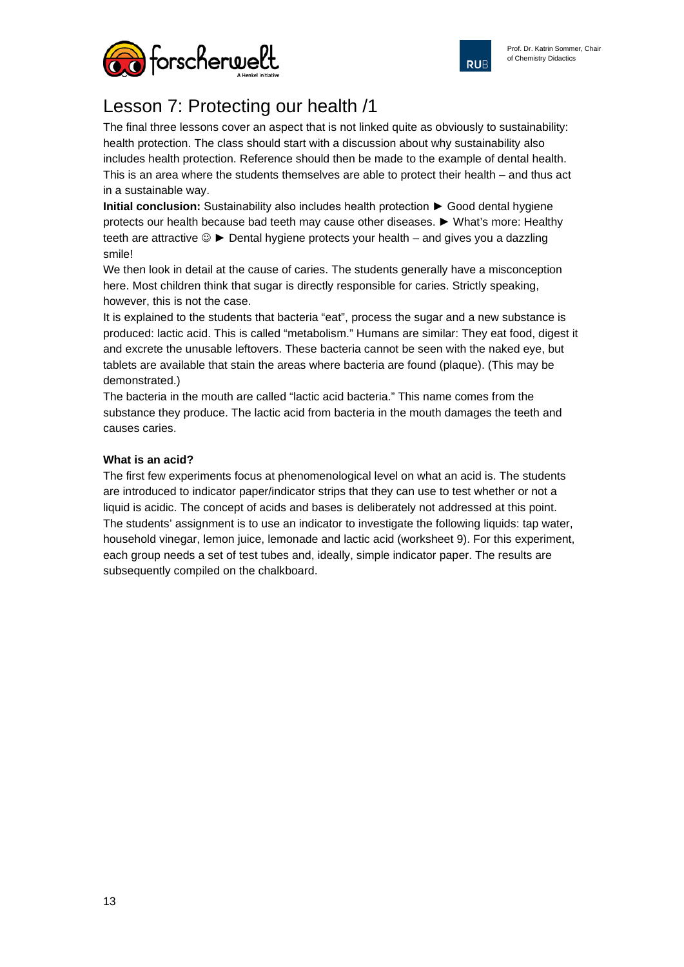

**RUB** 



# Lesson 7: Protecting our health /1

The final three lessons cover an aspect that is not linked quite as obviously to sustainability: health protection. The class should start with a discussion about why sustainability also includes health protection. Reference should then be made to the example of dental health. This is an area where the students themselves are able to protect their health – and thus act in a sustainable way.

**Initial conclusion:** Sustainability also includes health protection ► Good dental hygiene protects our health because bad teeth may cause other diseases. ► What's more: Healthy teeth are attractive  $\circledcirc$   $\blacktriangleright$  Dental hygiene protects your health – and gives you a dazzling smile!

We then look in detail at the cause of caries. The students generally have a misconception here. Most children think that sugar is directly responsible for caries. Strictly speaking, however, this is not the case.

It is explained to the students that bacteria "eat", process the sugar and a new substance is produced: lactic acid. This is called "metabolism." Humans are similar: They eat food, digest it and excrete the unusable leftovers. These bacteria cannot be seen with the naked eye, but tablets are available that stain the areas where bacteria are found (plaque). (This may be demonstrated.)

The bacteria in the mouth are called "lactic acid bacteria." This name comes from the substance they produce. The lactic acid from bacteria in the mouth damages the teeth and causes caries.

### **What is an acid?**

The first few experiments focus at phenomenological level on what an acid is. The students are introduced to indicator paper/indicator strips that they can use to test whether or not a liquid is acidic. The concept of acids and bases is deliberately not addressed at this point. The students' assignment is to use an indicator to investigate the following liquids: tap water, household vinegar, lemon juice, lemonade and lactic acid (worksheet 9). For this experiment, each group needs a set of test tubes and, ideally, simple indicator paper. The results are subsequently compiled on the chalkboard.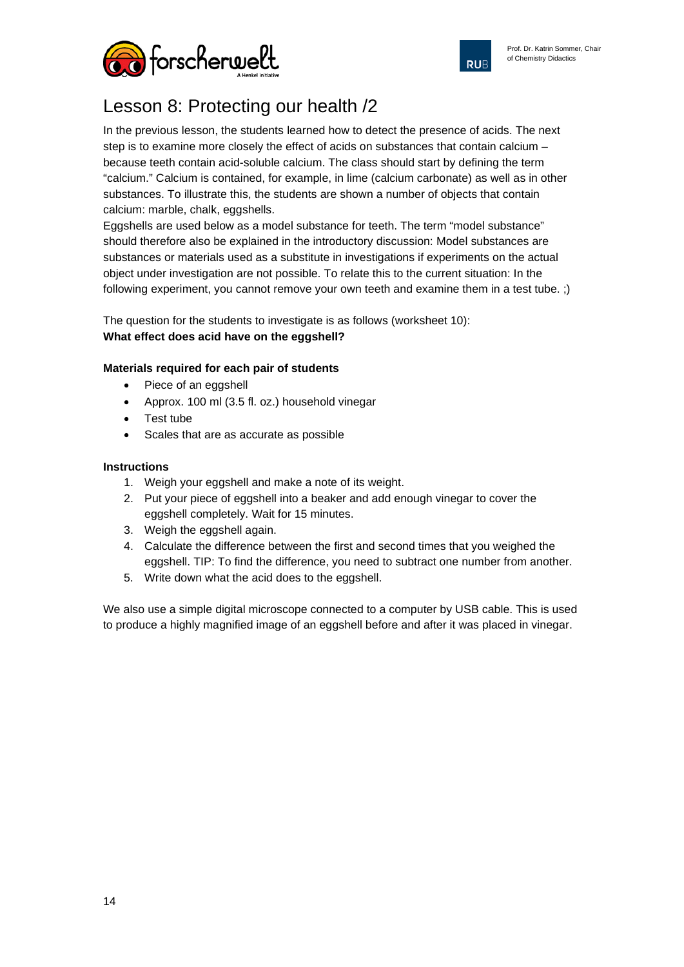

**RUB** 



# Lesson 8: Protecting our health /2

In the previous lesson, the students learned how to detect the presence of acids. The next step is to examine more closely the effect of acids on substances that contain calcium – because teeth contain acid-soluble calcium. The class should start by defining the term "calcium." Calcium is contained, for example, in lime (calcium carbonate) as well as in other substances. To illustrate this, the students are shown a number of objects that contain calcium: marble, chalk, eggshells.

Eggshells are used below as a model substance for teeth. The term "model substance" should therefore also be explained in the introductory discussion: Model substances are substances or materials used as a substitute in investigations if experiments on the actual object under investigation are not possible. To relate this to the current situation: In the following experiment, you cannot remove your own teeth and examine them in a test tube. ;)

The question for the students to investigate is as follows (worksheet 10): **What effect does acid have on the eggshell?**

### **Materials required for each pair of students**

- Piece of an eggshell
- Approx. 100 ml (3.5 fl. oz.) household vinegar
- Test tube
- Scales that are as accurate as possible

#### **Instructions**

- 1. Weigh your eggshell and make a note of its weight.
- 2. Put your piece of eggshell into a beaker and add enough vinegar to cover the eggshell completely. Wait for 15 minutes.
- 3. Weigh the eggshell again.
- 4. Calculate the difference between the first and second times that you weighed the eggshell. TIP: To find the difference, you need to subtract one number from another.
- 5. Write down what the acid does to the eggshell.

We also use a simple digital microscope connected to a computer by USB cable. This is used to produce a highly magnified image of an eggshell before and after it was placed in vinegar.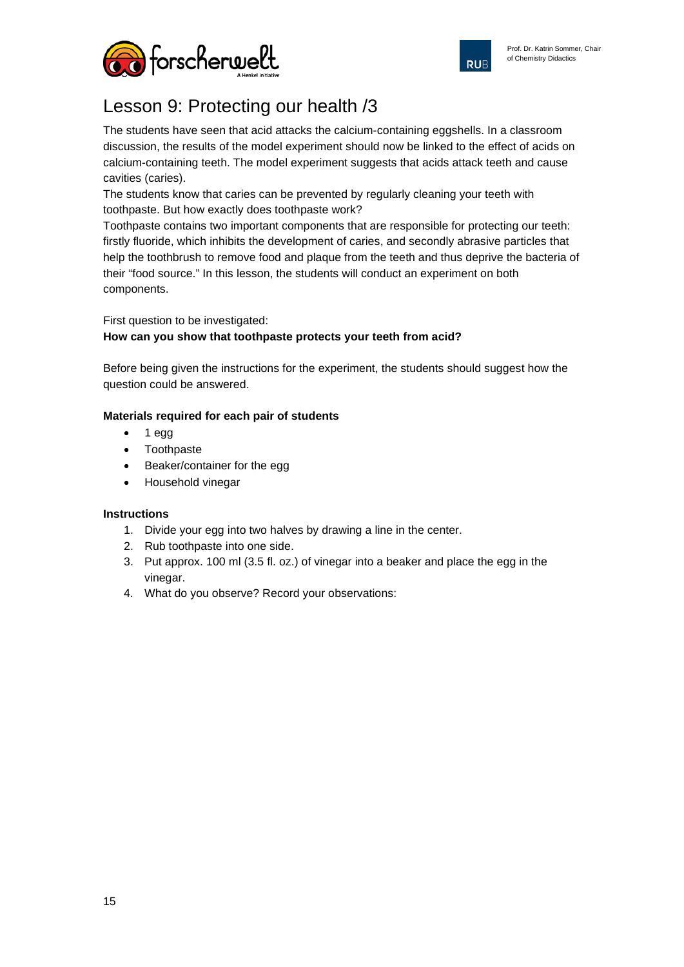



# Lesson 9: Protecting our health /3

The students have seen that acid attacks the calcium-containing eggshells. In a classroom discussion, the results of the model experiment should now be linked to the effect of acids on calcium-containing teeth. The model experiment suggests that acids attack teeth and cause cavities (caries).

The students know that caries can be prevented by regularly cleaning your teeth with toothpaste. But how exactly does toothpaste work?

Toothpaste contains two important components that are responsible for protecting our teeth: firstly fluoride, which inhibits the development of caries, and secondly abrasive particles that help the toothbrush to remove food and plaque from the teeth and thus deprive the bacteria of their "food source." In this lesson, the students will conduct an experiment on both components.

### First question to be investigated: **How can you show that toothpaste protects your teeth from acid?**

Before being given the instructions for the experiment, the students should suggest how the question could be answered.

### **Materials required for each pair of students**

- 1 egg
- Toothpaste
- Beaker/container for the egg
- Household vinegar

### **Instructions**

- 1. Divide your egg into two halves by drawing a line in the center.
- 2. Rub toothpaste into one side.
- 3. Put approx. 100 ml (3.5 fl. oz.) of vinegar into a beaker and place the egg in the vinegar.
- 4. What do you observe? Record your observations: